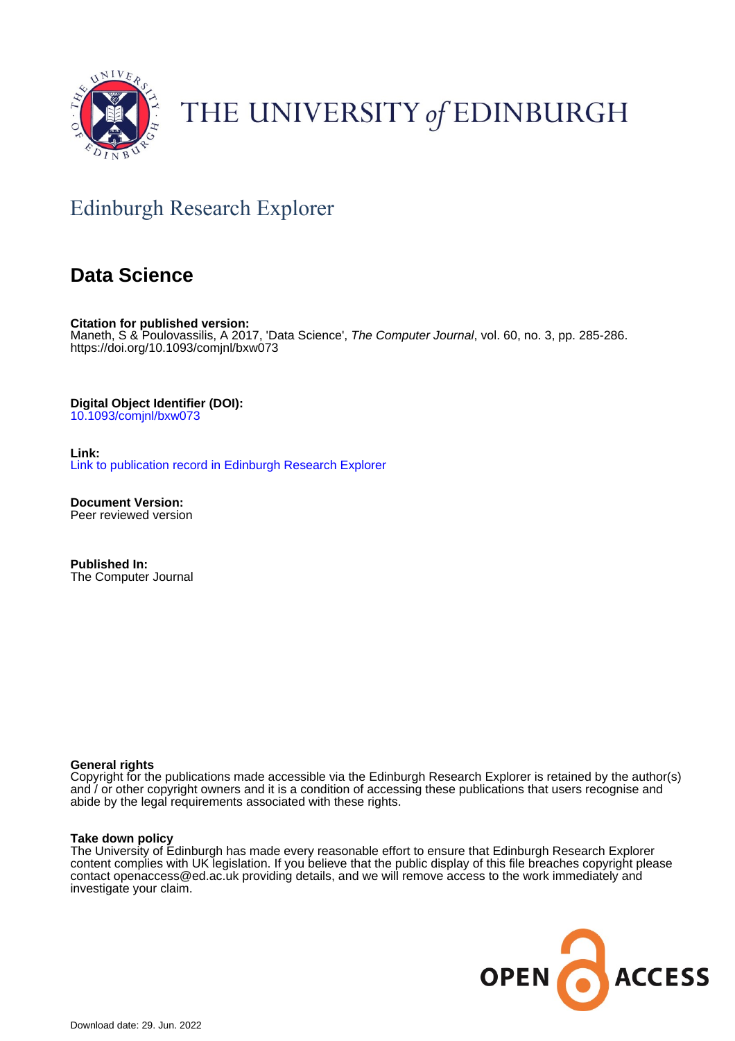

# THE UNIVERSITY of EDINBURGH

# Edinburgh Research Explorer

# **Data Science**

**Citation for published version:** Maneth, S & Poulovassilis, A 2017, 'Data Science', The Computer Journal, vol. 60, no. 3, pp. 285-286. <https://doi.org/10.1093/comjnl/bxw073>

**Digital Object Identifier (DOI):** [10.1093/comjnl/bxw073](https://doi.org/10.1093/comjnl/bxw073)

**Link:** [Link to publication record in Edinburgh Research Explorer](https://www.research.ed.ac.uk/en/publications/fd00a32c-a726-460d-8f4f-5f7d60465582)

**Document Version:** Peer reviewed version

**Published In:** The Computer Journal

### **General rights**

Copyright for the publications made accessible via the Edinburgh Research Explorer is retained by the author(s) and / or other copyright owners and it is a condition of accessing these publications that users recognise and abide by the legal requirements associated with these rights.

### **Take down policy**

The University of Edinburgh has made every reasonable effort to ensure that Edinburgh Research Explorer content complies with UK legislation. If you believe that the public display of this file breaches copyright please contact openaccess@ed.ac.uk providing details, and we will remove access to the work immediately and investigate your claim.

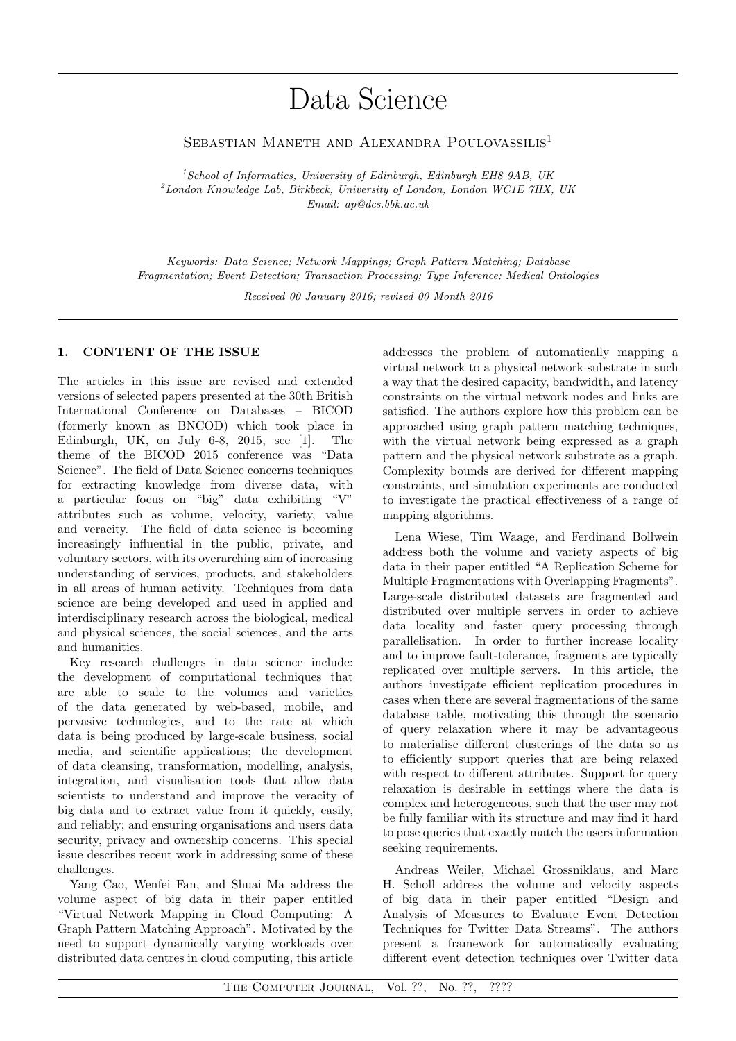# Data Science

# SEBASTIAN MANETH AND ALEXANDRA POULOVASSILIS<sup>1</sup>

 $1$ School of Informatics, University of Edinburgh, Edinburgh EH8 9AB, UK  ${}^{2}$ London Knowledge Lab, Birkbeck, University of London, London WC1E 7HX, UK Email: ap@dcs.bbk.ac.uk

Keywords: Data Science; Network Mappings; Graph Pattern Matching; Database Fragmentation; Event Detection; Transaction Processing; Type Inference; Medical Ontologies

Received 00 January 2016; revised 00 Month 2016

### 1. CONTENT OF THE ISSUE

The articles in this issue are revised and extended versions of selected papers presented at the 30th British International Conference on Databases – BICOD (formerly known as BNCOD) which took place in Edinburgh, UK, on July 6-8, 2015, see [1]. The theme of the BICOD 2015 conference was "Data Science". The field of Data Science concerns techniques for extracting knowledge from diverse data, with a particular focus on "big" data exhibiting " $V$ " attributes such as volume, velocity, variety, value and veracity. The field of data science is becoming increasingly influential in the public, private, and voluntary sectors, with its overarching aim of increasing understanding of services, products, and stakeholders in all areas of human activity. Techniques from data science are being developed and used in applied and interdisciplinary research across the biological, medical and physical sciences, the social sciences, and the arts and humanities.

Key research challenges in data science include: the development of computational techniques that are able to scale to the volumes and varieties of the data generated by web-based, mobile, and pervasive technologies, and to the rate at which data is being produced by large-scale business, social media, and scientific applications; the development of data cleansing, transformation, modelling, analysis, integration, and visualisation tools that allow data scientists to understand and improve the veracity of big data and to extract value from it quickly, easily, and reliably; and ensuring organisations and users data security, privacy and ownership concerns. This special issue describes recent work in addressing some of these challenges.

Yang Cao, Wenfei Fan, and Shuai Ma address the volume aspect of big data in their paper entitled "Virtual Network Mapping in Cloud Computing: A Graph Pattern Matching Approach". Motivated by the need to support dynamically varying workloads over distributed data centres in cloud computing, this article

addresses the problem of automatically mapping a virtual network to a physical network substrate in such a way that the desired capacity, bandwidth, and latency constraints on the virtual network nodes and links are satisfied. The authors explore how this problem can be approached using graph pattern matching techniques, with the virtual network being expressed as a graph pattern and the physical network substrate as a graph. Complexity bounds are derived for different mapping constraints, and simulation experiments are conducted to investigate the practical effectiveness of a range of mapping algorithms.

Lena Wiese, Tim Waage, and Ferdinand Bollwein address both the volume and variety aspects of big data in their paper entitled "A Replication Scheme for Multiple Fragmentations with Overlapping Fragments". Large-scale distributed datasets are fragmented and distributed over multiple servers in order to achieve data locality and faster query processing through parallelisation. In order to further increase locality and to improve fault-tolerance, fragments are typically replicated over multiple servers. In this article, the authors investigate efficient replication procedures in cases when there are several fragmentations of the same database table, motivating this through the scenario of query relaxation where it may be advantageous to materialise different clusterings of the data so as to efficiently support queries that are being relaxed with respect to different attributes. Support for query relaxation is desirable in settings where the data is complex and heterogeneous, such that the user may not be fully familiar with its structure and may find it hard to pose queries that exactly match the users information seeking requirements.

Andreas Weiler, Michael Grossniklaus, and Marc H. Scholl address the volume and velocity aspects of big data in their paper entitled "Design and Analysis of Measures to Evaluate Event Detection Techniques for Twitter Data Streams". The authors present a framework for automatically evaluating different event detection techniques over Twitter data